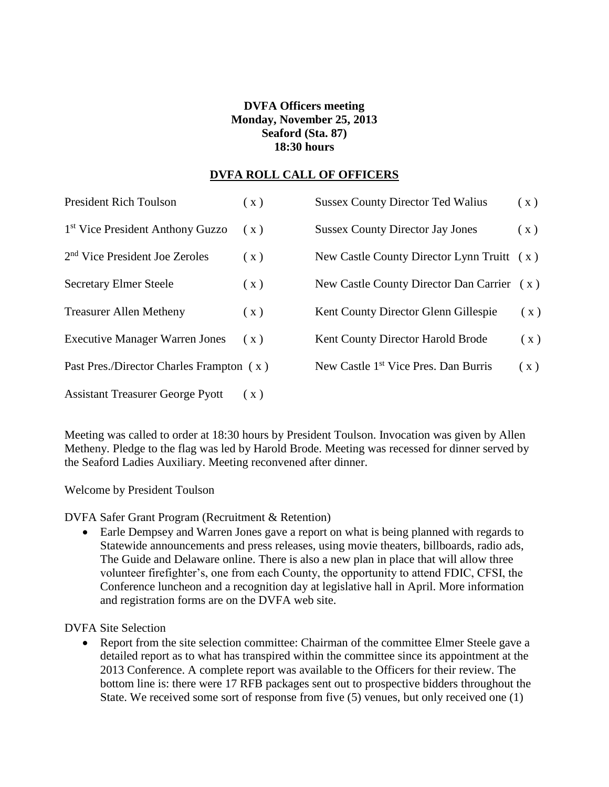## **DVFA Officers meeting Monday, November 25, 2013 Seaford (Sta. 87) 18:30 hours**

#### **DVFA ROLL CALL OF OFFICERS**

| <b>President Rich Toulson</b>                | (x) | <b>Sussex County Director Ted Walius</b>         | (x) |
|----------------------------------------------|-----|--------------------------------------------------|-----|
| 1 <sup>st</sup> Vice President Anthony Guzzo | (x) | <b>Sussex County Director Jay Jones</b>          | (x) |
| 2 <sup>nd</sup> Vice President Joe Zeroles   | (x) | New Castle County Director Lynn Truitt $(x)$     |     |
| <b>Secretary Elmer Steele</b>                | (x) | New Castle County Director Dan Carrier (x)       |     |
| <b>Treasurer Allen Metheny</b>               | (x) | Kent County Director Glenn Gillespie             | (x) |
| <b>Executive Manager Warren Jones</b>        | (x) | Kent County Director Harold Brode                | (x) |
| Past Pres./Director Charles Frampton (x)     |     | New Castle 1 <sup>st</sup> Vice Pres. Dan Burris | (x) |
| <b>Assistant Treasurer George Pyott</b>      | (X) |                                                  |     |

Meeting was called to order at 18:30 hours by President Toulson. Invocation was given by Allen Metheny. Pledge to the flag was led by Harold Brode. Meeting was recessed for dinner served by the Seaford Ladies Auxiliary. Meeting reconvened after dinner.

Welcome by President Toulson

DVFA Safer Grant Program (Recruitment & Retention)

 Earle Dempsey and Warren Jones gave a report on what is being planned with regards to Statewide announcements and press releases, using movie theaters, billboards, radio ads, The Guide and Delaware online. There is also a new plan in place that will allow three volunteer firefighter's, one from each County, the opportunity to attend FDIC, CFSI, the Conference luncheon and a recognition day at legislative hall in April. More information and registration forms are on the DVFA web site.

DVFA Site Selection

• Report from the site selection committee: Chairman of the committee Elmer Steele gave a detailed report as to what has transpired within the committee since its appointment at the 2013 Conference. A complete report was available to the Officers for their review. The bottom line is: there were 17 RFB packages sent out to prospective bidders throughout the State. We received some sort of response from five (5) venues, but only received one (1)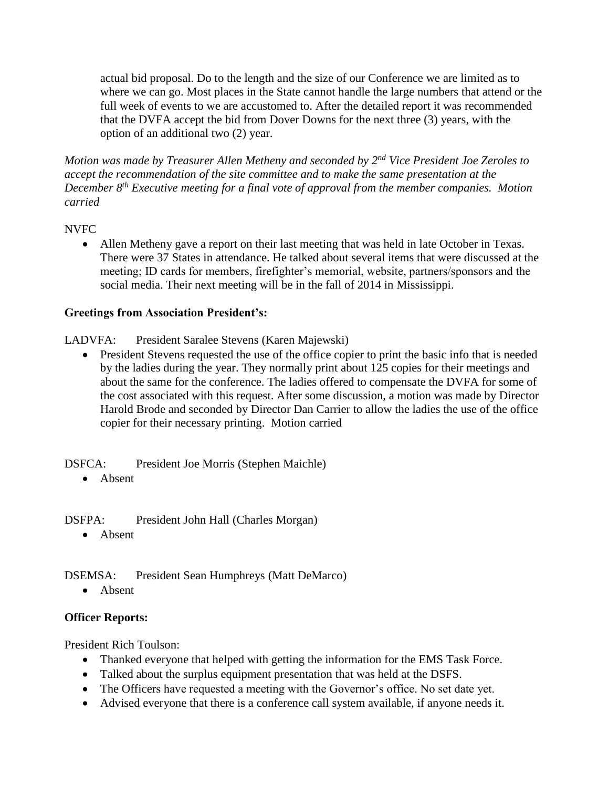actual bid proposal. Do to the length and the size of our Conference we are limited as to where we can go. Most places in the State cannot handle the large numbers that attend or the full week of events to we are accustomed to. After the detailed report it was recommended that the DVFA accept the bid from Dover Downs for the next three (3) years, with the option of an additional two (2) year.

*Motion was made by Treasurer Allen Metheny and seconded by 2nd Vice President Joe Zeroles to accept the recommendation of the site committee and to make the same presentation at the December 8th Executive meeting for a final vote of approval from the member companies. Motion carried*

### NVFC

 Allen Metheny gave a report on their last meeting that was held in late October in Texas. There were 37 States in attendance. He talked about several items that were discussed at the meeting; ID cards for members, firefighter's memorial, website, partners/sponsors and the social media. Their next meeting will be in the fall of 2014 in Mississippi.

# **Greetings from Association President's:**

LADVFA: President Saralee Stevens (Karen Majewski)

• President Stevens requested the use of the office copier to print the basic info that is needed by the ladies during the year. They normally print about 125 copies for their meetings and about the same for the conference. The ladies offered to compensate the DVFA for some of the cost associated with this request. After some discussion, a motion was made by Director Harold Brode and seconded by Director Dan Carrier to allow the ladies the use of the office copier for their necessary printing. Motion carried

DSFCA: President Joe Morris (Stephen Maichle)

Absent

DSFPA: President John Hall (Charles Morgan)

• Absent

DSEMSA: President Sean Humphreys (Matt DeMarco)

• Absent

### **Officer Reports:**

President Rich Toulson:

- Thanked everyone that helped with getting the information for the EMS Task Force.
- Talked about the surplus equipment presentation that was held at the DSFS.
- The Officers have requested a meeting with the Governor's office. No set date yet.
- Advised everyone that there is a conference call system available, if anyone needs it.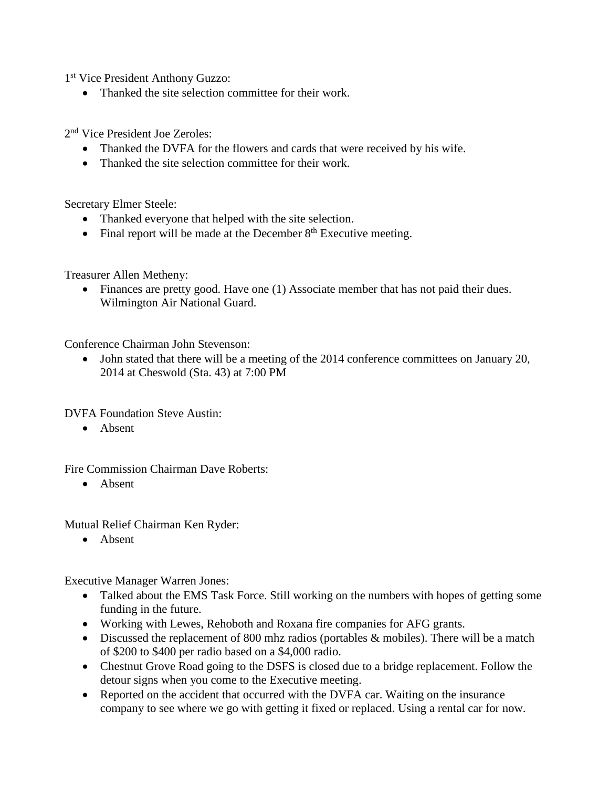1 st Vice President Anthony Guzzo:

• Thanked the site selection committee for their work.

2 nd Vice President Joe Zeroles:

- Thanked the DVFA for the flowers and cards that were received by his wife.
- Thanked the site selection committee for their work.

Secretary Elmer Steele:

- Thanked everyone that helped with the site selection.
- Final report will be made at the December  $8<sup>th</sup>$  Executive meeting.

Treasurer Allen Metheny:

 Finances are pretty good. Have one (1) Associate member that has not paid their dues. Wilmington Air National Guard.

Conference Chairman John Stevenson:

 John stated that there will be a meeting of the 2014 conference committees on January 20, 2014 at Cheswold (Sta. 43) at 7:00 PM

DVFA Foundation Steve Austin:

• Absent

Fire Commission Chairman Dave Roberts:

Absent

Mutual Relief Chairman Ken Ryder:

• Absent

Executive Manager Warren Jones:

- Talked about the EMS Task Force. Still working on the numbers with hopes of getting some funding in the future.
- Working with Lewes, Rehoboth and Roxana fire companies for AFG grants.
- Discussed the replacement of 800 mhz radios (portables & mobiles). There will be a match of \$200 to \$400 per radio based on a \$4,000 radio.
- Chestnut Grove Road going to the DSFS is closed due to a bridge replacement. Follow the detour signs when you come to the Executive meeting.
- Reported on the accident that occurred with the DVFA car. Waiting on the insurance company to see where we go with getting it fixed or replaced. Using a rental car for now.